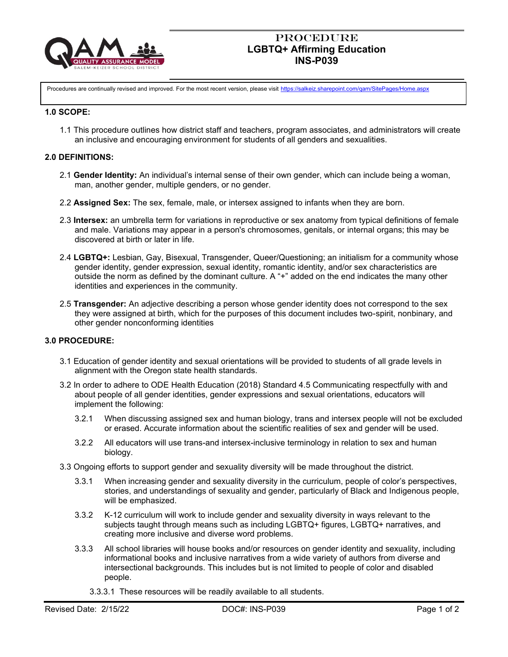

## **PROCEDURE LGBTQ+ Affirming Education INS-P039**

Procedures are continually revised and improved. For the most recent version, please visit <https://salkeiz.sharepoint.com/qam/SitePages/Home.aspx>

#### **1.0 SCOPE:**

1.1 This procedure outlines how district staff and teachers, program associates, and administrators will create an inclusive and encouraging environment for students of all genders and sexualities.

### **2.0 DEFINITIONS:**

- 2.1 **Gender Identity:** An individual's internal sense of their own gender, which can include being a woman, man, another gender, multiple genders, or no gender.
- 2.2 **Assigned Sex:** The sex, female, male, or intersex assigned to infants when they are born.
- 2.3 **Intersex:** an umbrella term for variations in reproductive or sex anatomy from typical definitions of female and male. Variations may appear in a person's chromosomes, genitals, or internal organs; this may be discovered at birth or later in life.
- 2.4 **LGBTQ+:** Lesbian, Gay, Bisexual, Transgender, Queer/Questioning; an initialism for a community whose gender identity, gender expression, sexual identity, romantic identity, and/or sex characteristics are outside the norm as defined by the dominant culture. A "+" added on the end indicates the many other identities and experiences in the community.
- 2.5 **Transgender:** An adjective describing a person whose gender identity does not correspond to the sex they were assigned at birth, which for the purposes of this document includes two-spirit, nonbinary, and other gender nonconforming identities

### **3.0 PROCEDURE:**

- 3.1 Education of gender identity and sexual orientations will be provided to students of all grade levels in alignment with the Oregon state health standards.
- 3.2 In order to adhere to ODE Health Education (2018) Standard 4.5 Communicating respectfully with and about people of all gender identities, gender expressions and sexual orientations, educators will implement the following:
	- 3.2.1 When discussing assigned sex and human biology, trans and intersex people will not be excluded or erased. Accurate information about the scientific realities of sex and gender will be used.
	- 3.2.2 All educators will use trans-and intersex-inclusive terminology in relation to sex and human biology.
- 3.3 Ongoing efforts to support gender and sexuality diversity will be made throughout the district.
	- 3.3.1 When increasing gender and sexuality diversity in the curriculum, people of color's perspectives, stories, and understandings of sexuality and gender, particularly of Black and Indigenous people, will be emphasized.
	- 3.3.2 K-12 curriculum will work to include gender and sexuality diversity in ways relevant to the subjects taught through means such as including LGBTQ+ figures, LGBTQ+ narratives, and creating more inclusive and diverse word problems.
	- 3.3.3 All school libraries will house books and/or resources on gender identity and sexuality, including informational books and inclusive narratives from a wide variety of authors from diverse and intersectional backgrounds. This includes but is not limited to people of color and disabled people.
		- 3.3.3.1 These resources will be readily available to all students.